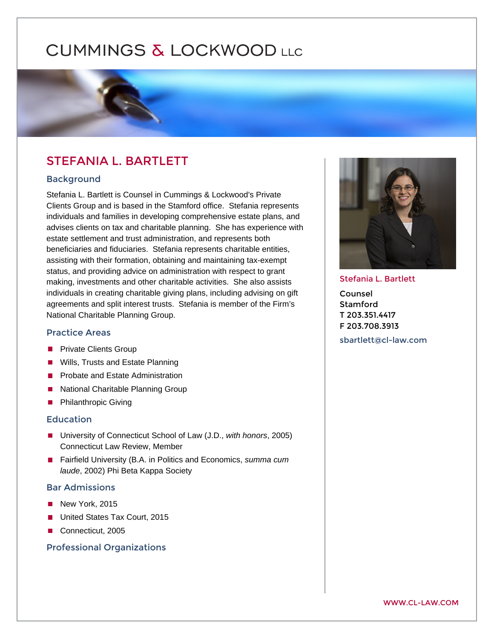# STEFANIA L. BARTLETT

## Background

Stefania L. Bartlett is Counsel in Cummings & Lockwood's Private Clients Group and is based in the Stamford office. Stefania represents individuals and families in developing comprehensive estate plans, and advises clients on tax and charitable planning. She has experience with estate settlement and trust administration, and represents both beneficiaries and fiduciaries. Stefania represents charitable entities, assisting with their formation, obtaining and maintaining tax-exempt status, and providing advice on administration with respect to grant making, investments and other charitable activities. She also assists individuals in creating charitable giving plans, including advising on gift agreements and split interest trusts. Stefania is member of the Firm's National Charitable Planning Group.

#### Practice Areas

[Private Clients Group](https://www.cl-law.com/practice-areas/private-clients-group)  [Wills, Trusts and Estate Planning](https://www.cl-law.com/practice-areas/wills-trusts-estate-planning)  [Probate and Estate Administration](https://www.cl-law.com/practice-areas/probate-and-estate-administration)  [National Charitable Planning Group](https://www.cl-law.com/practice-areas/national-charitable-planning-group)  [Philanthropic Giving](https://www.cl-law.com/practice-areas/philanthropic-giving) 

#### Education

University of Connecticut School of Law (J.D., with honors, 2005) Connecticut Law Review, Member

Fairfield University (B.A. in Politics and Economics, summa cum laude, 2002) Phi Beta Kappa Society

# Bar Admissions

New York, 2015 United States Tax Court, 2015 Connecticut, 2005

### Professional Organizations

# Stefania L. Bartlett

Counsel Stamford T 203.351.4417 F 203.708.3913

[sbartlett@cl-law](mailto:sbartlett@cl-law.com).com